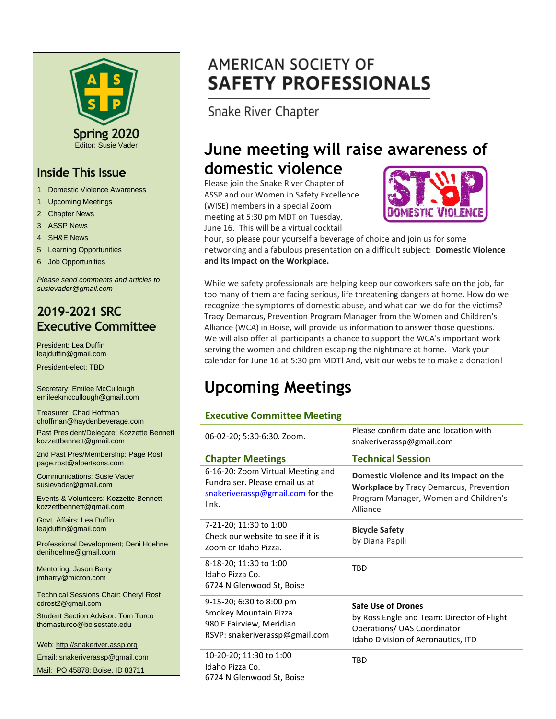

### **Inside This Issue**

- 1 Domestic Violence Awareness
- 1 Upcoming Meetings
- 2 Chapter News
- 3 ASSP News
- 4 SH&E News
- 5 Learning Opportunities
- 6 Job Opportunities

*Please send comments and articles to susievader@gmail.com*

# **2019-2021 SRC Executive Committee**

President: Lea Duffin leajduffin@gmail.com

President-elect: TBD

Secretary: Emilee McCullough emileekmccullough@gmail.com

Treasurer: Chad Hoffman choffman@haydenbeverage.com

Past President/Delegate: Kozzette Bennett kozzettbennett@gmail.com

2nd Past Pres/Membership: Page Rost page.rost@albertsons.com

Communications: Susie Vader susievader@gmail.com

Events & Volunteers: Kozzette Bennett kozzettbennett@gmail.com

Govt. Affairs: Lea Duffin leajduffin@gmail.com

Professional Development; Deni Hoehne denihoehne@gmail.com

Mentoring: Jason Barry jmbarry@micron.com

Technical Sessions Chair: Cheryl Rost cdrost2@gmail.com

Student Section Advisor: Tom Turco thomasturco@boisestate.edu

Web: http://snakeriver.assp.org

Email: snakeriverassp@gmail.com

Mail: PO 45878; Boise, ID 83711

# **AMERICAN SOCIETY OF SAFETY PROFESSIONALS**

Snake River Chapter

# **June meeting will raise awareness of domestic violence**

Please join the Snake River Chapter of ASSP and our Women in Safety Excellence (WISE) members in a special Zoom meeting at 5:30 pm MDT on Tuesday, June 16. This will be a virtual cocktail



hour, so please pour yourself a beverage of choice and join us for some networking and a fabulous presentation on a difficult subject: **Domestic Violence and its Impact on the Workplace.** 

While we safety professionals are helping keep our coworkers safe on the job, far too many of them are facing serious, life threatening dangers at home. How do we recognize the symptoms of domestic abuse, and what can we do for the victims? Tracy Demarcus, Prevention Program Manager from the Women and Children's Alliance (WCA) in Boise, will provide us information to answer those questions. We will also offer all participants a chance to support the WCA's important work serving the women and children escaping the nightmare at home. Mark your calendar for June 16 at 5:30 pm MDT! And, visit our website to make a donation!

# **Upcoming Meetings**

| <b>Executive Committee Meeting</b>                                                                               |                                                                                                                                                |
|------------------------------------------------------------------------------------------------------------------|------------------------------------------------------------------------------------------------------------------------------------------------|
| 06-02-20; 5:30-6:30. Zoom.                                                                                       | Please confirm date and location with<br>snakeriverassp@gmail.com                                                                              |
| <b>Chapter Meetings</b>                                                                                          | <b>Technical Session</b>                                                                                                                       |
| 6-16-20: Zoom Virtual Meeting and<br>Fundraiser. Please email us at<br>snakeriverassp@gmail.com for the<br>link. | Domestic Violence and its Impact on the<br><b>Workplace by Tracy Demarcus, Prevention</b><br>Program Manager, Women and Children's<br>Alliance |
| 7-21-20; 11:30 to 1:00<br>Check our website to see if it is<br>Zoom or Idaho Pizza.                              | <b>Bicycle Safety</b><br>by Diana Papili                                                                                                       |
| 8-18-20; 11:30 to 1:00<br>Idaho Pizza Co.<br>6724 N Glenwood St, Boise                                           | <b>TBD</b>                                                                                                                                     |
| 9-15-20; 6:30 to 8:00 pm<br>Smokey Mountain Pizza<br>980 E Fairview, Meridian<br>RSVP: snakeriverassp@gmail.com  | <b>Safe Use of Drones</b><br>by Ross Engle and Team: Director of Flight<br>Operations/ UAS Coordinator<br>Idaho Division of Aeronautics, ITD   |
| 10-20-20; 11:30 to 1:00<br>Idaho Pizza Co.<br>6724 N Glenwood St, Boise                                          | <b>TBD</b>                                                                                                                                     |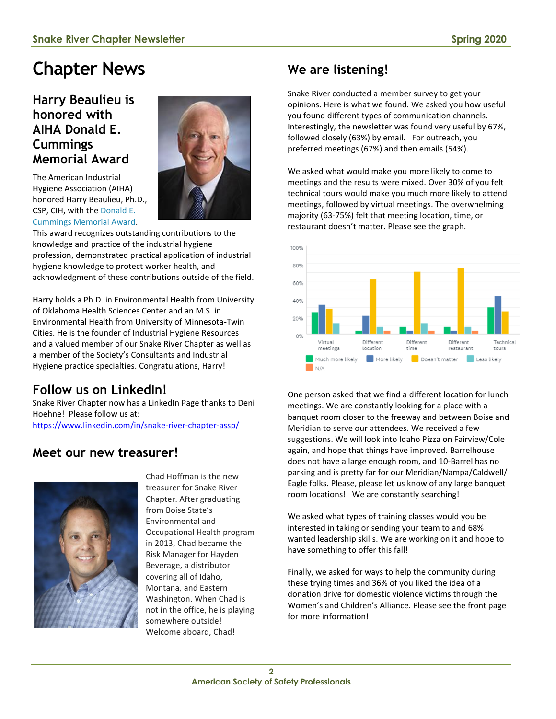# **Chapter News**

### **Harry Beaulieu is honored with AIHA Donald E. Cummings Memorial Award**

The American Industrial Hygiene Association (AIHA) honored Harry Beaulieu, Ph.D., CSP, CIH, with the [Donald E.](https://www.aiha.org/about-aiha/awards-and-opportunities)  [Cummings Memorial Award.](https://www.aiha.org/about-aiha/awards-and-opportunities) 



This award recognizes outstanding contributions to the knowledge and practice of the industrial hygiene profession, demonstrated practical application of industrial hygiene knowledge to protect worker health, and acknowledgment of these contributions outside of the field.

Harry holds a Ph.D. in Environmental Health from University of Oklahoma Health Sciences Center and an M.S. in Environmental Health from University of Minnesota-Twin Cities. He is the founder of Industrial Hygiene Resources and a valued member of our Snake River Chapter as well as a member of the Society's Consultants and Industrial Hygiene practice specialties. Congratulations, Harry!

# **Follow us on LinkedIn!**

Snake River Chapter now has a LinkedIn Page thanks to Deni Hoehne! Please follow us at: <https://www.linkedin.com/in/snake-river-chapter-assp/>

### **Meet our new treasurer!**



Chad Hoffman is the new treasurer for Snake River Chapter. After graduating from Boise State's Environmental and Occupational Health program in 2013, Chad became the Risk Manager for Hayden Beverage, a distributor covering all of Idaho, Montana, and Eastern Washington. When Chad is not in the office, he is playing somewhere outside! Welcome aboard, Chad!

# **We are listening!**

Snake River conducted a member survey to get your opinions. Here is what we found. We asked you how useful you found different types of communication channels. Interestingly, the newsletter was found very useful by 67%, followed closely (63%) by email. For outreach, you preferred meetings (67%) and then emails (54%).

We asked what would make you more likely to come to meetings and the results were mixed. Over 30% of you felt technical tours would make you much more likely to attend meetings, followed by virtual meetings. The overwhelming majority (63-75%) felt that meeting location, time, or restaurant doesn't matter. Please see the graph.



One person asked that we find a different location for lunch meetings. We are constantly looking for a place with a banquet room closer to the freeway and between Boise and Meridian to serve our attendees. We received a few suggestions. We will look into Idaho Pizza on Fairview/Cole again, and hope that things have improved. Barrelhouse does not have a large enough room, and 10-Barrel has no parking and is pretty far for our Meridian/Nampa/Caldwell/ Eagle folks. Please, please let us know of any large banquet room locations! We are constantly searching!

We asked what types of training classes would you be interested in taking or sending your team to and 68% wanted leadership skills. We are working on it and hope to have something to offer this fall!

Finally, we asked for ways to help the community during these trying times and 36% of you liked the idea of a donation drive for domestic violence victims through the Women's and Children's Alliance. Please see the front page for more information!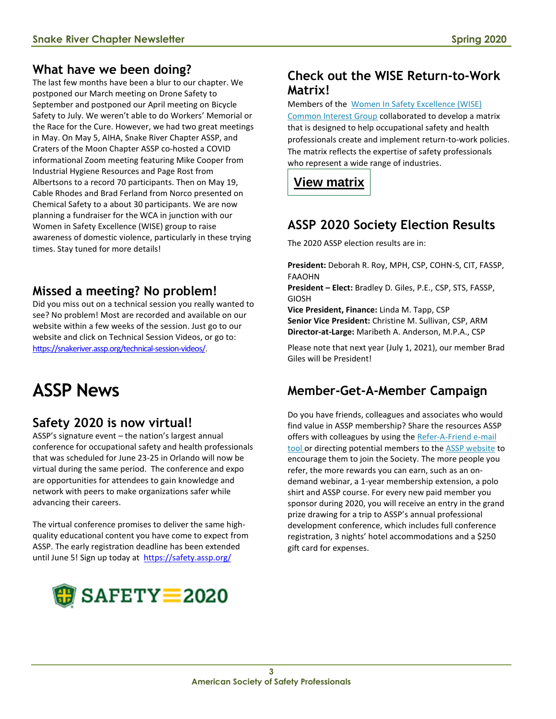### **What have we been doing?**

The last few months have been a blur to our chapter. We postponed our March meeting on Drone Safety to September and postponed our April meeting on Bicycle Safety to July. We weren't able to do Workers' Memorial or the Race for the Cure. However, we had two great meetings in May. On May 5, AIHA, Snake River Chapter ASSP, and Craters of the Moon Chapter ASSP co-hosted a COVID informational Zoom meeting featuring Mike Cooper from Industrial Hygiene Resources and Page Rost from Albertsons to a record 70 participants. Then on May 19, Cable Rhodes and Brad Ferland from Norco presented on Chemical Safety to a about 30 participants. We are now planning a fundraiser for the WCA in junction with our Women in Safety Excellence (WISE) group to raise awareness of domestic violence, particularly in these trying times. Stay tuned for more details!

# **Missed a meeting? No problem!**

Did you miss out on a technical session you really wanted to see? No problem! Most are recorded and available on our website within a few weeks of the session. Just go to our website and click on Technical Session Videos, or go to: [https://snakeriver.assp.org/technical-session-videos/.](https://snakeriver.assp.org/technical-session-videos/)

# **ASSP News**

# **Safety 2020 is now virtual!**

ASSP's signature event – the nation's largest annual conference for occupational safety and health professionals that was scheduled for June 23-25 in Orlando will now be virtual during the same period. The conference and expo are opportunities for attendees to gain knowledge and network with peers to make organizations safer while advancing their careers.

The virtual conference promises to deliver the same highquality educational content you have come to expect from ASSP. The early registration deadline has been extended until June 5! Sign up today at<https://safety.assp.org/>



### **Check out the WISE Return-to-Work Matrix!**

#### Members of the [Women In Safety Excellence \(WISE\)](https://www.assp.org/membership/communities/common-interest-groups/women-in-safety-excellence)

[Common Interest Group](https://www.assp.org/membership/communities/common-interest-groups/women-in-safety-excellence) collaborated to develop a matrix that is designed to help occupational safety and health professionals create and implement return-to-work policies. The matrix reflects the expertise of safety professionals who represent a wide range of industries.

# **View [matrix](https://docs.google.com/spreadsheets/d/1HyOtS2WQnVc8x9sETxgk10lF_YRBgro6VVrHMjZ1xSI/edit#gid=1917118704)**

# **ASSP 2020 Society Election Results**

The 2020 ASSP election results are in:

**President:** Deborah R. Roy, MPH, CSP, COHN-S, CIT, FASSP, FAAOHN

**President – Elect:** Bradley D. Giles, P.E., CSP, STS, FASSP, GIOSH

**Vice President, Finance:** Linda M. Tapp, CSP **Senior Vice President:** Christine M. Sullivan, CSP, ARM **Director-at-Large:** Maribeth A. Anderson, M.P.A., CSP

Please note that next year (July 1, 2021), our member Brad Giles will be President!

# **Member-Get-A-Member Campaign**

Do you have friends, colleagues and associates who would find value in ASSP membership? Share the resources ASSP offers with colleagues by using the [Refer-A-Friend e-mail](https://www.assp.org/membership/member-get-a-member)  [tool](https://www.assp.org/membership/member-get-a-member) or directing potential members to the ASSP [website](https://www.assp.org/membership/apply-to-join) to encourage them to join the Society. The more people you refer, the more rewards you can earn, such as an ondemand webinar, a 1-year membership extension, a polo shirt and ASSP course. For every new paid member you sponsor during 2020, you will receive an entry in the grand prize drawing for a trip to ASSP's annual professional development conference, which includes full conference registration, 3 nights' hotel accommodations and a \$250 gift card for expenses.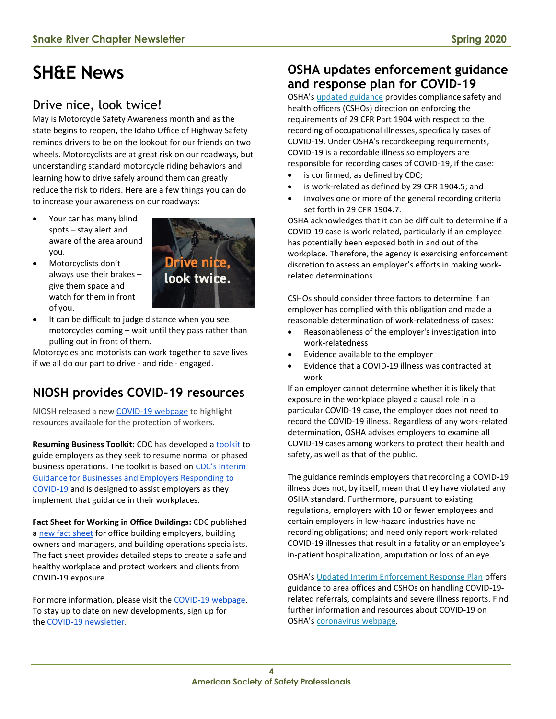# **SH&E News**

# Drive nice, look twice!

May is Motorcycle Safety Awareness month and as the state begins to reopen, the Idaho Office of Highway Safety reminds drivers to be on the lookout for our friends on two wheels. Motorcyclists are at great risk on our roadways, but understanding standard motorcycle riding behaviors and learning how to drive safely around them can greatly reduce the risk to riders. Here are a few things you can do to increase your awareness on our roadways:

- Your car has many blind spots – stay alert and aware of the area around you.
- Motorcyclists don't always use their brakes – give them space and watch for them in front of you.



It can be difficult to judge distance when you see motorcycles coming – wait until they pass rather than pulling out in front of them.

Motorcycles and motorists can work together to save lives if we all do our part to drive - and ride - engaged.

# **NIOSH provides COVID-19 resources**

NIOSH released a new [COVID-19 webpage](https://t.emailupdates.cdc.gov/r/?id=h1b0d7109,11828270,11829dff) to highlight resources available for the protection of workers.

Resuming Business Toolkit: CDC has developed a [toolkit](https://t.emailupdates.cdc.gov/r/?id=h1b0d7109,11828270,11829dfc) to guide employers as they seek to resume normal or phased business operations. The toolkit is based on [CDC's Interim](https://t.emailupdates.cdc.gov/r/?id=h1b0d7109,11828270,11829dfd)  [Guidance for Businesses and Employers Responding to](https://t.emailupdates.cdc.gov/r/?id=h1b0d7109,11828270,11829dfd)  [COVID-19](https://t.emailupdates.cdc.gov/r/?id=h1b0d7109,11828270,11829dfd) and is designed to assist employers as they implement that guidance in their workplaces.

**Fact Sheet for Working in Office Buildings:** CDC published a [new fact sheet](https://t.emailupdates.cdc.gov/r/?id=h1b0d7109,11828270,11829dfe) for office building employers, building owners and managers, and building operations specialists. The fact sheet provides detailed steps to create a safe and healthy workplace and protect workers and clients from COVID-19 exposure.

For more information, please visit the [COVID-19 webpage.](https://t.emailupdates.cdc.gov/r/?id=h1b0d7109,11828270,11829dff)  To stay up to date on new developments, sign up for the [COVID-19 newsletter.](https://t.emailupdates.cdc.gov/r/?id=h1b0d7109,11828270,11829e00)

#### **OSHA updates enforcement guidance and response plan for COVID-19**

OSHA's [updated guidance](https://www.osha.gov/memos/2020-05-19/revised-enforcement-guidance-recording-cases-coronavirus-disease-2019-covid-19) provides compliance safety and health officers (CSHOs) direction on enforcing the requirements of 29 CFR Part 1904 with respect to the recording of occupational illnesses, specifically cases of COVID-19. Under OSHA's recordkeeping requirements, COVID-19 is a recordable illness so employers are responsible for recording cases of COVID-19, if the case:

- is confirmed, as defined by CDC;
- is work-related as defined by 29 CFR 1904.5; and
- involves one or more of the general recording criteria set forth in 29 CFR 1904.7.

OSHA acknowledges that it can be difficult to determine if a COVID-19 case is work-related, particularly if an employee has potentially been exposed both in and out of the workplace. Therefore, the agency is exercising enforcement discretion to assess an employer's efforts in making workrelated determinations.

CSHOs should consider three factors to determine if an employer has complied with this obligation and made a reasonable determination of work-relatedness of cases:

- Reasonableness of the employer's investigation into work-relatedness
- Evidence available to the employer
- Evidence that a COVID-19 illness was contracted at work

If an employer cannot determine whether it is likely that exposure in the workplace played a causal role in a particular COVID-19 case, the employer does not need to record the COVID-19 illness. Regardless of any work-related determination, OSHA advises employers to examine all COVID-19 cases among workers to protect their health and safety, as well as that of the public.

The guidance reminds employers that recording a COVID-19 illness does not, by itself, mean that they have violated any OSHA standard. Furthermore, pursuant to existing regulations, employers with 10 or fewer employees and certain employers in low-hazard industries have no recording obligations; and need only report work-related COVID-19 illnesses that result in a fatality or an employee's in-patient hospitalization, amputation or loss of an eye.

OSHA's [Updated Interim Enforcement Response Plan](https://www.osha.gov/memos/2020-05-19/updated-interim-enforcement-response-plan-coronavirus-disease-2019-covid-19) offers guidance to area offices and CSHOs on handling COVID-19 related referrals, complaints and severe illness reports. Find further information and resources about COVID-19 on OSHA's [coronavirus webpage.](https://www.osha.gov/SLTC/covid-19/)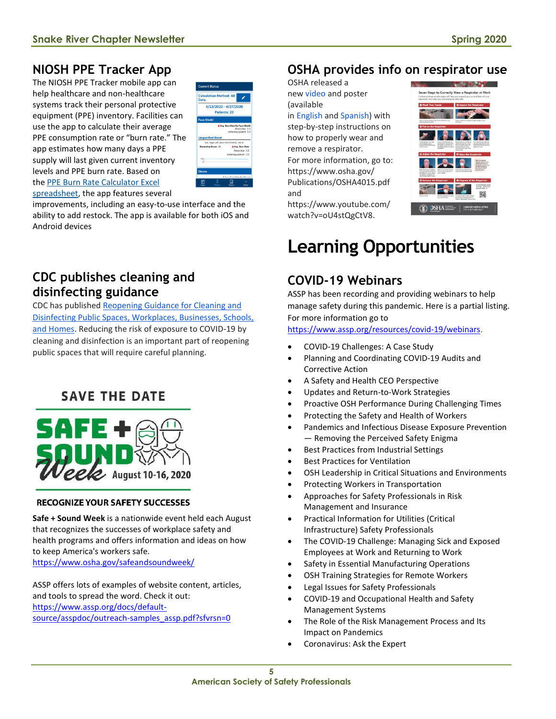# **NIOSH PPE Tracker App**

The NIOSH PPE Tracker mobile app can help healthcare and non-healthcare systems track their personal protective equipment (PPE) inventory. Facilities can use the app to calculate their average PPE consumption rate or "burn rate." The app estimates how many days a PPE supply will last given current inventory levels and PPE burn rate. Based on the [PPE Burn Rate Calculator Excel](https://www.cdc.gov/coronavirus/2019-ncov/hcp/ppe-strategy/burn-calculator.html) 



[spreadsheet,](https://www.cdc.gov/coronavirus/2019-ncov/hcp/ppe-strategy/burn-calculator.html) the app features several

improvements, including an easy-to-use interface and the ability to add restock. The app is available for both iOS and Android devices

### **CDC publishes cleaning and disinfecting guidance**

CDC has published [Reopening Guidance for Cleaning and](https://t.emailupdates.cdc.gov/r/?id=h160f07bb,114f5d0d,114f724a)  [Disinfecting Public Spaces, Workplaces, Businesses, Schools,](https://t.emailupdates.cdc.gov/r/?id=h160f07bb,114f5d0d,114f724a)  [and Homes.](https://t.emailupdates.cdc.gov/r/?id=h160f07bb,114f5d0d,114f724a) Reducing the risk of exposure to COVID-19 by cleaning and disinfection is an important part of reopening public spaces that will require careful planning.

# **SAVE THE DATE**



#### **RECOGNIZE YOUR SAFETY SUCCESSES**

**Safe + Sound Week** is a nationwide event held each August that recognizes the successes of workplace safety and health programs and offers information and ideas on how to keep America's workers safe. <https://www.osha.gov/safeandsoundweek/>

ASSP offers lots of examples of website content, articles, and tools to spread the word. Check it out: [https://www.assp.org/docs/default](https://www.assp.org/docs/default-source/asspdoc/outreach-samples_assp.pdf?sfvrsn=0)[source/asspdoc/outreach-samples\\_assp.pdf?sfvrsn=0](https://www.assp.org/docs/default-source/asspdoc/outreach-samples_assp.pdf?sfvrsn=0)

### **OSHA provides info on respirator use**

OSHA released a new [video](https://lnks.gd/l/eyJhbGciOiJIUzI1NiJ9.eyJidWxsZXRpbl9saW5rX2lkIjoxMDcsInVyaSI6ImJwMjpjbGljayIsImJ1bGxldGluX2lkIjoiMjAyMDA1MDguMjEyNjA2NTEiLCJ1cmwiOiJodHRwczovL3d3dy55b3V0dWJlLmNvbS93YXRjaD92PW9VNHN0UWdDdFY4In0.NNsRA6R34WmldNKR9y2WvPD80IzWH6ZD3_j1U5fjUuE/br/78423103049-l) and poster (available

in [English](https://lnks.gd/l/eyJhbGciOiJIUzI1NiJ9.eyJidWxsZXRpbl9saW5rX2lkIjoxMDgsInVyaSI6ImJwMjpjbGljayIsImJ1bGxldGluX2lkIjoiMjAyMDA1MDguMjEyNjA2NTEiLCJ1cmwiOiJodHRwczovL3d3dy5vc2hhLmdvdi9QdWJsaWNhdGlvbnMvT1NIQTQwMTUucGRmIn0.DjeA93rLOw4iYmXQseqJR514NunLoYPH6ZhREeDax6E/br/78423103049-l) and [Spanish\)](https://lnks.gd/l/eyJhbGciOiJIUzI1NiJ9.eyJidWxsZXRpbl9saW5rX2lkIjoxMDksInVyaSI6ImJwMjpjbGljayIsImJ1bGxldGluX2lkIjoiMjAyMDA1MDguMjEyNjA2NTEiLCJ1cmwiOiJodHRwczovL3d3dy5vc2hhLmdvdi9QdWJsaWNhdGlvbnMvT1NIQTQwMTYucGRmIn0.Q8gvSkUh4Q4OGqvyloPHSkzx-1SiHZ91ybreBWE9XWo/br/78423103049-l) with step-by-step instructions on how to properly wear and remove a respirator. For more information, go to: https://www.osha.gov/ Publications/OSHA4015.pdf and



https://www.youtube.com/ watch?v=oU4stQgCtV8.

# **Learning Opportunities**

### **COVID-19 Webinars**

ASSP has been recording and providing webinars to help manage safety during this pandemic. Here is a partial listing. For more information go to

[https://www.assp.org/resources/covid-19/webinars.](https://www.assp.org/resources/covid-19/webinars)

- COVID-19 Challenges: A Case Study
- Planning and Coordinating COVID-19 Audits and Corrective Action
- A Safety and Health CEO Perspective
- Updates and Return-to-Work Strategies
- Proactive OSH Performance During Challenging Times
- Protecting the Safety and Health of Workers
- Pandemics and Infectious Disease Exposure Prevention — Removing the Perceived Safety Enigma
- Best Practices from Industrial Settings
- Best Practices for Ventilation
- OSH Leadership in Critical Situations and Environments
- Protecting Workers in Transportation
- Approaches for Safety Professionals in Risk Management and Insurance
- Practical Information for Utilities (Critical Infrastructure) Safety Professionals
- The COVID-19 Challenge: Managing Sick and Exposed Employees at Work and Returning to Work
- Safety in Essential Manufacturing Operations
- OSH Training Strategies for Remote Workers
- Legal Issues for Safety Professionals
- COVID-19 and Occupational Health and Safety Management Systems
- The Role of the Risk Management Process and Its Impact on Pandemics
- Coronavirus: Ask the Expert